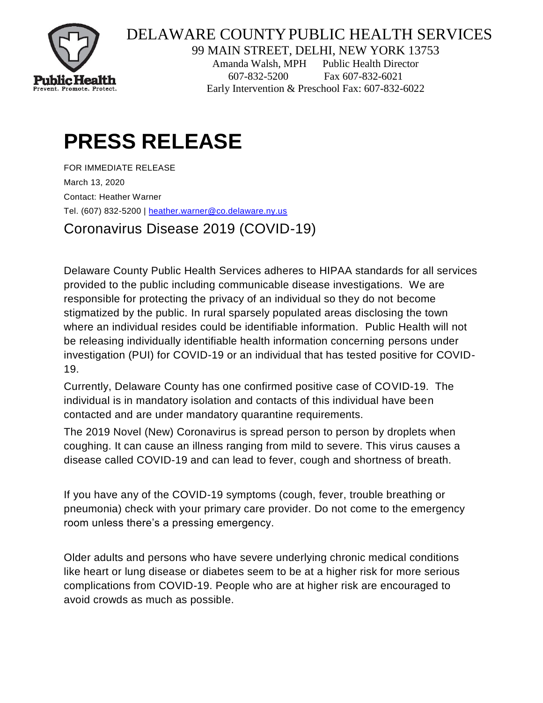

## DELAWARE COUNTYPUBLIC HEALTH SERVICES

99 MAIN STREET, DELHI, NEW YORK 13753

Amanda Walsh, MPH Public Health Director 607-832-5200 Fax 607-832-6021 Early Intervention & Preschool Fax: 607-832-6022

# **PRESS RELEASE**

FOR IMMEDIATE RELEASE March 13, 2020 Contact: Heather Warner Tel. (607) 832-5200 | [heather.warner@co.delaware.ny.us](mailto:heather.warner@co.delaware.ny.us)

Coronavirus Disease 2019 (COVID-19)

Delaware County Public Health Services adheres to HIPAA standards for all services provided to the public including communicable disease investigations. We are responsible for protecting the privacy of an individual so they do not become stigmatized by the public. In rural sparsely populated areas disclosing the town where an individual resides could be identifiable information. Public Health will not be releasing individually identifiable health information concerning persons under investigation (PUI) for COVID-19 or an individual that has tested positive for COVID-19.

Currently, Delaware County has one confirmed positive case of COVID-19. The individual is in mandatory isolation and contacts of this individual have been contacted and are under mandatory quarantine requirements.

The 2019 Novel (New) Coronavirus is spread person to person by droplets when coughing. It can cause an illness ranging from mild to severe. This virus causes a disease called COVID-19 and can lead to fever, cough and shortness of breath.

If you have any of the COVID-19 symptoms (cough, fever, trouble breathing or pneumonia) check with your primary care provider. Do not come to the emergency room unless there's a pressing emergency.

Older adults and persons who have severe underlying chronic medical conditions like heart or lung disease or diabetes seem to be at a higher risk for more serious complications from COVID-19. People who are at higher risk are encouraged to avoid crowds as much as possible.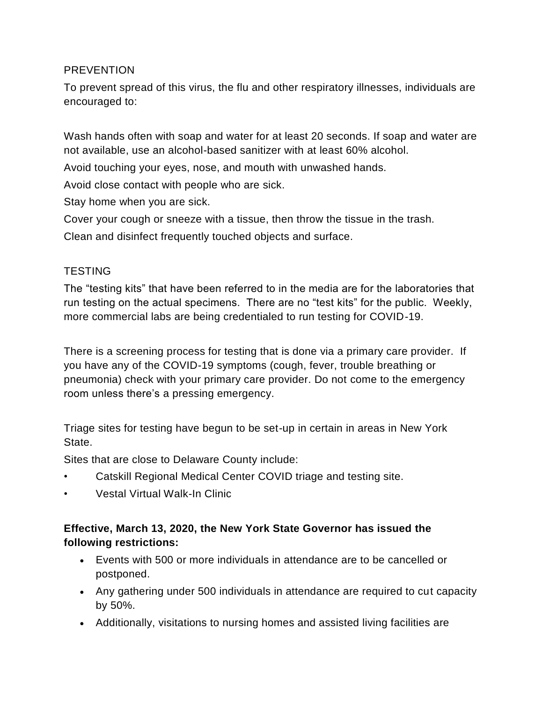#### PREVENTION

To prevent spread of this virus, the flu and other respiratory illnesses, individuals are encouraged to:

Wash hands often with soap and water for at least 20 seconds. If soap and water are not available, use an alcohol-based sanitizer with at least 60% alcohol.

Avoid touching your eyes, nose, and mouth with unwashed hands.

Avoid close contact with people who are sick.

Stay home when you are sick.

Cover your cough or sneeze with a tissue, then throw the tissue in the trash.

Clean and disinfect frequently touched objects and surface.

#### **TESTING**

The "testing kits" that have been referred to in the media are for the laboratories that run testing on the actual specimens. There are no "test kits" for the public. Weekly, more commercial labs are being credentialed to run testing for COVID-19.

There is a screening process for testing that is done via a primary care provider. If you have any of the COVID-19 symptoms (cough, fever, trouble breathing or pneumonia) check with your primary care provider. Do not come to the emergency room unless there's a pressing emergency.

Triage sites for testing have begun to be set-up in certain in areas in New York State.

Sites that are close to Delaware County include:

- Catskill Regional Medical Center COVID triage and testing site.
- Vestal Virtual Walk-In Clinic

### **Effective, March 13, 2020, the New York State Governor has issued the following restrictions:**

- Events with 500 or more individuals in attendance are to be cancelled or postponed.
- Any gathering under 500 individuals in attendance are required to cut capacity by 50%.
- Additionally, visitations to nursing homes and assisted living facilities are